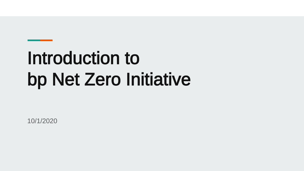# Introduction to bp Net Zero Initiative

10/1/2020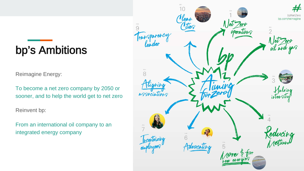## bp's Ambitions

Reimagine Energy:

To become a net zero company by 2050 or sooner, and to help the world get to net zero

Reinvent bp:

From an international oil company to an integrated energy company

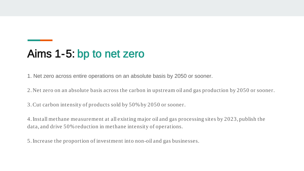#### Aims 1-5: bp to net zero

1. Net zero across entire operations on an absolute basis by 2050 or sooner.

2. Net zero on an absolute basis across the carbon in upstream oil and gas production by 2050 or sooner.

3. Cut carbon intensity of products sold by 50% by 2050 or sooner.

4. Install methane measurement at all existing major oil and gas processing sites by 2023, publish the data, and drive 50% reduction in methane intensity of operations.

5. Increase the proportion of investment into non-oil and gas businesses.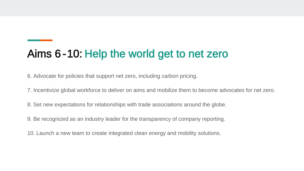### Aims 6 -10: Help the world get to net zero

6. Advocate for policies that support net zero, including carbon pricing.

7. Incentivize global workforce to deliver on aims and mobilize them to become advocates for net zero.

8. Set new expectations for relationships with trade associations around the globe.

9. Be recognized as an industry leader for the transparency of company reporting.

10. Launch a new team to create integrated clean energy and mobility solutions.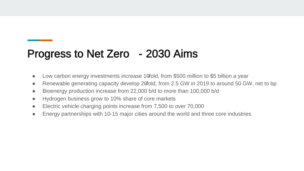#### Progress to Net Zero - 2030 Aims

- Low carbon energy investments increase 10fold, from \$500 million to \$5 billion a year
- Renewable generating capacity develop 20fold, from 2.5 GW in 2019 to around 50 GW, net to bp
- Bioenergy production increase from 22,000 b/d to more than 100,000 b/d
- Hydrogen business grow to 10% share of core markets
- Electric vehicle charging points increase from 7,500 to over 70,000
- Energy partnerships with 10-15 major cities around the world and three core industries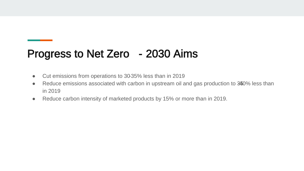#### Progress to Net Zero - 2030 Aims

- Cut emissions from operations to 30-35% less than in 2019
- Reduce emissions associated with carbon in upstream oil and gas production to 340% less than in 2019
- Reduce carbon intensity of marketed products by 15% or more than in 2019.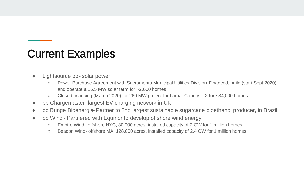#### Current Examples

- Lightsource bp solar power
	- Power Purchase Agreement with Sacramento Municipal Utilities Division-Financed, build (start Sept 2020) and operate a 16.5 MW solar farm for ~2,600 homes
	- Closed financing (March 2020) for 260 MW project for Lamar County, TX for ~34,000 homes
- bp Chargemaster-largest EV charging network in UK
- bp Bunge Bioenergia Partner to 2nd largest sustainable sugarcane bioethanol producer, in Brazil
- bp Wind Partnered with Equinor to develop offshore wind energy
	- Empire Wind offshore NYC, 80,000 acres, installed capacity of 2 GW for 1 million homes
	- Beacon Wind offshore MA, 128,000 acres, installed capacity of 2.4 GW for 1 million homes